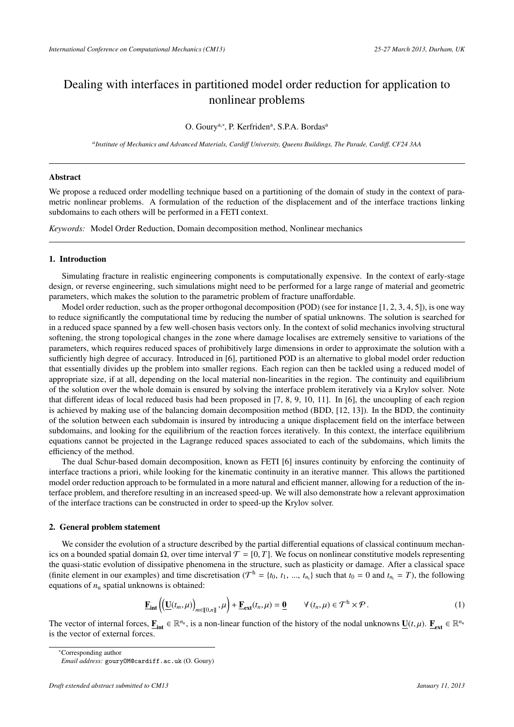# Dealing with interfaces in partitioned model order reduction for application to nonlinear problems

# O. Goury<sup>a,\*</sup>, P. Kerfriden<sup>a</sup>, S.P.A. Bordas<sup>a</sup>

*a Institute of Mechanics and Advanced Materials, Cardi*ff *University, Queens Buildings, The Parade, Cardi*ff*, CF24 3AA*

### Abstract

We propose a reduced order modelling technique based on a partitioning of the domain of study in the context of parametric nonlinear problems. A formulation of the reduction of the displacement and of the interface tractions linking subdomains to each others will be performed in a FETI context.

*Keywords:* Model Order Reduction, Domain decomposition method, Nonlinear mechanics

# 1. Introduction

Simulating fracture in realistic engineering components is computationally expensive. In the context of early-stage design, or reverse engineering, such simulations might need to be performed for a large range of material and geometric parameters, which makes the solution to the parametric problem of fracture unaffordable.

Model order reduction, such as the proper orthogonal decomposition (POD) (see for instance [1, 2, 3, 4, 5]), is one way to reduce significantly the computational time by reducing the number of spatial unknowns. The solution is searched for in a reduced space spanned by a few well-chosen basis vectors only. In the context of solid mechanics involving structural softening, the strong topological changes in the zone where damage localises are extremely sensitive to variations of the parameters, which requires reduced spaces of prohibitively large dimensions in order to approximate the solution with a sufficiently high degree of accuracy. Introduced in [6], partitioned POD is an alternative to global model order reduction that essentially divides up the problem into smaller regions. Each region can then be tackled using a reduced model of appropriate size, if at all, depending on the local material non-linearities in the region. The continuity and equilibrium of the solution over the whole domain is ensured by solving the interface problem iteratively via a Krylov solver. Note that different ideas of local reduced basis had been proposed in [7, 8, 9, 10, 11]. In [6], the uncoupling of each region is achieved by making use of the balancing domain decomposition method (BDD, [12, 13]). In the BDD, the continuity of the solution between each subdomain is insured by introducing a unique displacement field on the interface between subdomains, and looking for the equilibrium of the reaction forces iteratively. In this context, the interface equilibrium equations cannot be projected in the Lagrange reduced spaces associated to each of the subdomains, which limits the efficiency of the method.

The dual Schur-based domain decomposition, known as FETI [6] insures continuity by enforcing the continuity of interface tractions a priori, while looking for the kinematic continuity in an iterative manner. This allows the partitioned model order reduction approach to be formulated in a more natural and efficient manner, allowing for a reduction of the interface problem, and therefore resulting in an increased speed-up. We will also demonstrate how a relevant approximation of the interface tractions can be constructed in order to speed-up the Krylov solver.

#### 2. General problem statement

We consider the evolution of a structure described by the partial differential equations of classical continuum mechanics on a bounded spatial domain Ω, over time interval  $T = [0, T]$ . We focus on nonlinear constitutive models representing the quasi-static evolution of dissipative phenomena in the structure, such as plasticity or damage. After a classical space (finite element in our examples) and time discretisation ( $T^h = \{t_0, t_1, ..., t_{n_t}\}$  such that  $t_0 = 0$  and  $t_{n_t} = T$ ), the following equations of *n*, spatial unknowns is obtained: equations of  $n<sub>u</sub>$  spatial unknowns is obtained:

$$
\underline{\mathbf{F}}_{\text{int}}\left(\underline{\mathbf{U}}(t_m,\mu)\right)_{m\in\llbracket 0,n\rrbracket},\mu\right)+\underline{\mathbf{F}}_{\text{ext}}(t_n,\mu)=\underline{\mathbf{0}}\qquad\forall\,(t_n,\mu)\in\mathcal{T}^{\text{h}}\times\mathcal{P}\,.
$$

The vector of internal forces,  $\underline{\mathbf{F}}_{int} \in \mathbb{R}^{n_u}$ , is a non-linear function of the history of the nodal unknowns  $\underline{\mathbf{U}}(t,\mu)$ .  $\underline{\mathbf{F}}_{ext} \in \mathbb{R}^{n_u}$ <br>is the vector of external forces is the vector of external forces.

<sup>∗</sup>Corresponding author

*Email address:* gouryOM@cardiff.ac.uk (O. Goury)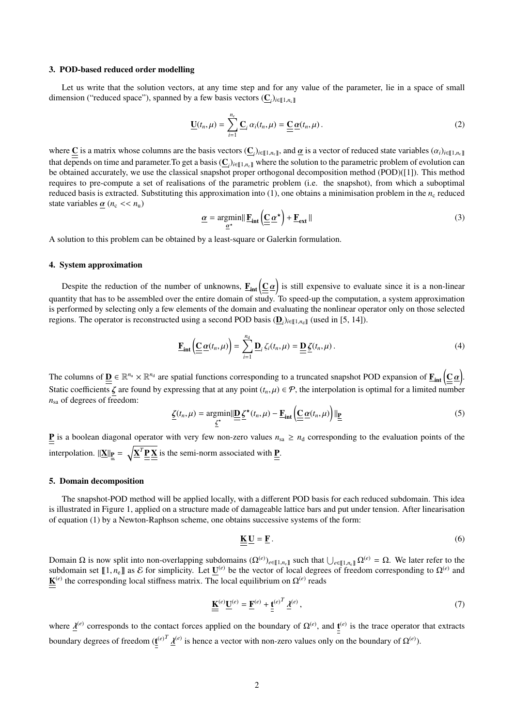## 3. POD-based reduced order modelling

Let us write that the solution vectors, at any time step and for any value of the parameter, lie in a space of small dimension ("reduced space"), spanned by a few basis vectors  $(\underline{C}_i)_{i \in [\![1,n_c]\!]}$ 

$$
\underline{\mathbf{U}}(t_n,\mu) = \sum_{i=1}^{n_c} \underline{\mathbf{C}}_i \alpha_i(t_n,\mu) = \underline{\underline{\mathbf{C}}} \underline{\alpha}(t_n,\mu).
$$
 (2)

where  $\underline{\mathbf{C}}$  is a matrix whose columns are the basis vectors  $(\underline{\mathbf{C}}_i)_{i \in [\![1,n_c]\!]}$ , and  $\underline{\alpha}$  is a vector of reduced state variables  $(\alpha_i)_{i \in [\![1,n_c]\!]}$ that depends on time and parameter. To get a basis  $(\underline{C}_i)_{i \in [\![ 1, n_c]\!]}$  where the solution to the parametric problem of evolution can<br>be obtained assumed was the slogical graphet grapes orthogonal decomposition mathed be obtained accurately, we use the classical snapshot proper orthogonal decomposition method (POD)([1]). This method requires to pre-compute a set of realisations of the parametric problem (i.e. the snapshot), from which a suboptimal reduced basis is extracted. Substituting this approximation into  $(1)$ , one obtains a minimisation problem in the  $n_c$  reduced state variables  $\alpha$  ( $n_c \ll n_u$ )

$$
\underline{\alpha} = \underset{\underline{\alpha}^{\star}}{\operatorname{argmin}} \|\underline{\mathbf{F}}_{int} \left( \underline{\underline{\mathbf{C}}} \, \underline{\alpha}^{\star} \right) + \underline{\mathbf{F}}_{ext} \| \tag{3}
$$

A solution to this problem can be obtained by a least-square or Galerkin formulation.

#### 4. System approximation

Despite the reduction of the number of unknowns,  $\underline{\mathbf{F}}_{int}(\underline{\underline{\mathbf{C}}}\underline{\alpha})$  is still expensive to evaluate since it is a non-linear quantity that has to be assembled over the entire domain of study. To speed-up the computation, a system approximation is performed by selecting only a few elements of the domain and evaluating the nonlinear operator only on those selected regions. The operator is reconstructed using a second POD basis  $(\underline{\mathbf{D}}_i)_{i \in [\![1,n_d]\!]}$  (used in [5, 14]).

$$
\underline{\mathbf{F}}_{\text{int}}\left(\underline{\underline{\mathbf{C}}}\,\underline{\alpha}(t_n,\mu)\right) = \sum_{i=1}^{n_d} \underline{\mathbf{D}}_i \,\zeta_i(t_n,\mu) = \underline{\underline{\mathbf{D}}}\,\underline{\zeta}(t_n,\mu) \,. \tag{4}
$$

The columns of  $\underline{\mathbf{D}} \in \mathbb{R}^{n_u} \times \mathbb{R}^{n_d}$  are spatial functions corresponding to a truncated snapshot POD expansion of  $\underline{\mathbf{F}}_{int}(\underline{\underline{C}}\,\underline{\alpha})$ . Static coefficients  $\zeta$  are found by expressing that at any point  $(t_n, \mu) \in \mathcal{P}$ , the interpolation is optimal for a limited number  $n_{sa}$  of degrees of freedom:

$$
\underline{\zeta}(t_n,\mu) = \underset{\underline{\zeta}^*}{\text{argmin}} \|\underline{\underline{\mathbf{D}}}\underline{\zeta}^{\star}(t_n,\mu) - \underline{\mathbf{F}}_{\text{int}}\left(\underline{\underline{\mathbf{C}}}\,\underline{\alpha}(t_n,\mu)\right)\|_{\underline{\underline{\mathbf{P}}}}\tag{5}
$$

**P** is a boolean diagonal operator with very few non-zero values  $n_{sa} \ge n_d$  corresponding to the evaluation points of the interpolation.  $\|\underline{\mathbf{X}}\|_{\underline{\mathbf{P}}} = \sqrt{\underline{\mathbf{X}}^T \underline{\mathbf{P}} \underline{\mathbf{X}}}$  is the semi-norm associated with  $\underline{\mathbf{P}}$ .

#### 5. Domain decomposition

The snapshot-POD method will be applied locally, with a different POD basis for each reduced subdomain. This idea is illustrated in Figure 1, applied on a structure made of damageable lattice bars and put under tension. After linearisation of equation (1) by a Newton-Raphson scheme, one obtains successive systems of the form:

$$
\underline{\underline{\mathbf{K}}} \underline{\underline{\mathbf{U}}} = \underline{\underline{\mathbf{F}}} \,. \tag{6}
$$

Domain Ω is now split into non-overlapping subdomains  $(\Omega^{(e)})_{e \in [\![ 1,n_e]\!]}$  such that  $\bigcup_{e \in [\![ 1,n_e]\!]}\Omega^{(e)} = \Omega$ . We later refer to the subdomain set  $[\![ 1,n_r]\!]$  as  $\mathcal{E}$  for simplicity. Let  $\Pi^{(e)}$  be the vector of l subdomain set  $[[1, n_e]]$  as E for simplicity. Let  $\underline{\mathbf{U}}^{(e)}$  be the vector of local degrees of freedom corresponding to  $\Omega^{(e)}$  and  $\mathbf{K}^{(e)}$  the corresponding local stiffness matrix. The local equilibrium on  $\Omega^{($  $\underline{\mathbf{K}}^{(e)}$  the corresponding local stiffness matrix. The local equilibrium on  $\Omega^{(e)}$  reads

$$
\underline{\underline{\mathbf{K}}}^{(e)} \underline{\underline{\mathbf{U}}}^{(e)} = \underline{\underline{\mathbf{F}}}^{(e)} + \underline{\underline{\mathbf{t}}}^{(e)^T} \underline{\lambda}^{(e)},\tag{7}
$$

where  $\underline{\mathcal{A}}^{(e)}$  corresponds to the contact forces applied on the boundary of  $\Omega^{(e)}$ , and  $\underline{\mathbf{f}}^{(e)}$  is the trace operator that extracts boundary degrees of freedom  $(\underline{\mathbf{t}}^{(e)}^T)$ λ  $($ <sup>e</sup>)</sub> is hence a vector with non-zero values only on the boundary of  $Ω$ <sup>(*e*)</sup>).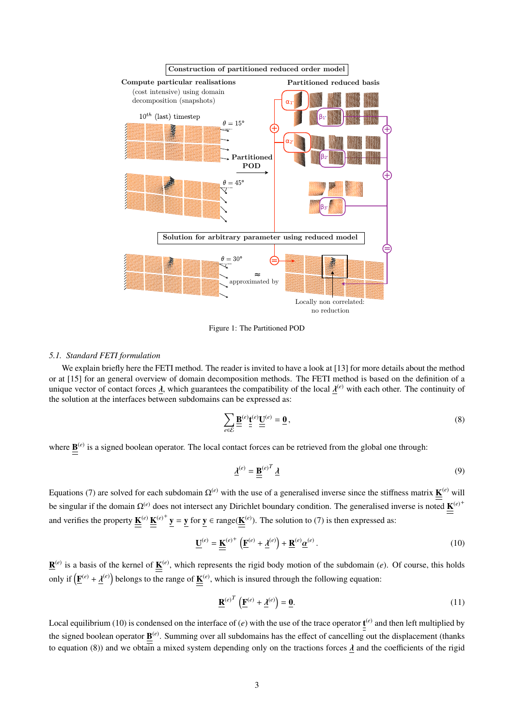

Figure 1: The Partitioned POD

#### *5.1. Standard FETI formulation*

We explain briefly here the FETI method. The reader is invited to have a look at [13] for more details about the method or at [15] for an general overview of domain decomposition methods. The FETI method is based on the definition of a unique vector of contact forces  $\underline{\lambda}$ , which guarantees the compatibility of the local  $\underline{\lambda}^{(e)}$  with each other. The continuity of<br>the solution at the interfaces between subdomains can be expressed as: the solution at the interfaces between subdomains can be expressed as:

$$
\sum_{e \in \mathcal{E}} \underline{\underline{\mathbf{B}}}^{(e)} \underline{\underline{\mathbf{t}}}^{(e)} \underline{\underline{\mathbf{U}}}^{(e)} = \underline{\mathbf{0}},\tag{8}
$$

where  $\underline{\mathbf{B}}^{(e)}$  is a signed boolean operator. The local contact forces can be retrieved from the global one through:

$$
\underline{\lambda}^{(e)} = \underline{\underline{\mathbf{B}}}^{(e)T} \underline{\lambda} \tag{9}
$$

Equations (7) are solved for each subdomain  $\Omega^{(e)}$  with the use of a generalised inverse since the stiffness matrix  $K^{(e)}$  will be singular if the domain Ω<sup>(*e*)</sup> does not intersect any Dirichlet boundary condition. The generalised inverse is noted **K**<sup>(*e*)<sup>+</sup></sup> and verifies the property  $\underline{\mathbf{K}}^{(e)} \underline{\mathbf{K}}^{(e)^+} \mathbf{y} = \mathbf{y}$  for  $\mathbf{y} \in \text{range}(\underline{\mathbf{K}}^{(e)})$ . The solution to (7) is then expressed as:

$$
\underline{\mathbf{U}}^{(e)} = \underline{\mathbf{K}}^{(e)^+} \left( \underline{\mathbf{F}}^{(e)} + \underline{\mathbf{\lambda}}^{(e)} \right) + \underline{\mathbf{R}}^{(e)} \underline{\boldsymbol{\alpha}}^{(e)} \,. \tag{10}
$$

 $\underline{\mathbf{R}}^{(e)}$  is a basis of the kernel of  $\underline{\mathbf{K}}^{(e)}$ , which represents the rigid body motion of the subdomain (*e*). Of course, this holds only if  $(\mathbf{F}^{(e)} + \underline{\mathbf{\lambda}}^{(e)})$  belongs to the range of  $\underline{\mathbf{K}}^{(e)}$ , which is insured through the following equation:

$$
\underline{\mathbf{R}}^{(e)T} \left( \underline{\mathbf{F}}^{(e)} + \underline{\lambda}^{(e)} \right) = \underline{\mathbf{0}}.
$$
 (11)

Local equilibrium (10) is condensed on the interface of  $(e)$  with the use of the trace operator  $\underline{t}^{(e)}$  and then left multiplied by the signed boolean operator  $\underline{B}^{(e)}$ . Summing over all subdomains has the effect of cancelling out the displacement (thanks to equation (8)) and we obtain a mixed system depending only on the tractions forces  $\lambda$  and the coefficients of the rigid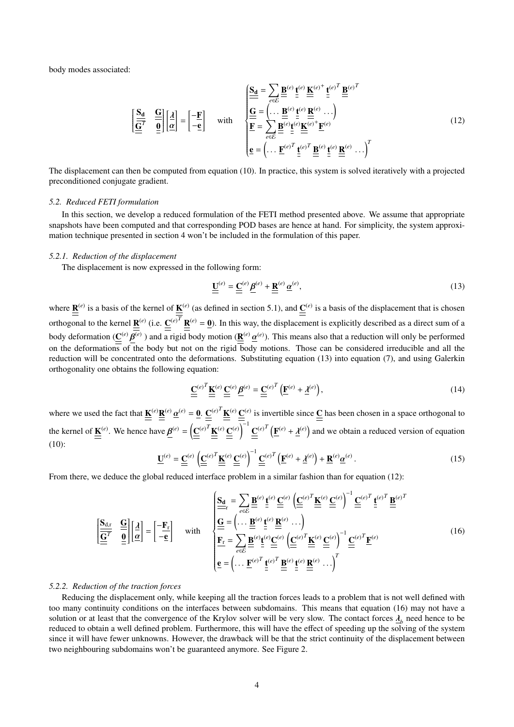body modes associated:

$$
\left[\frac{\mathbf{S}_{\mathbf{d}}}{\underline{\mathbf{G}}^{T}} \quad \frac{\underline{\mathbf{G}}}{\underline{\mathbf{g}}}\right] \left[\frac{\lambda}{\underline{\alpha}}\right] = \left[-\frac{\mathbf{F}}{-\underline{\mathbf{e}}}\right] \quad \text{with} \quad \left\{\begin{aligned}\n\frac{\mathbf{S}_{\mathbf{d}}}{\underline{\mathbf{G}}} &= \sum_{e \in \mathcal{E}} \underline{\mathbf{B}}^{(e)} \underline{\mathbf{t}}^{(e)} \frac{\mathbf{K}}{\underline{\mathbf{g}}}^{(e)} + \underline{\mathbf{t}}^{(e)^{T}} \underline{\mathbf{B}}^{(e)^{T}} \\
\frac{\underline{\mathbf{G}}}{\underline{\mathbf{F}}} &= \sum_{e \in \mathcal{E}} \underline{\mathbf{B}}^{(e)} \underline{\mathbf{t}}^{(e)} \underline{\mathbf{K}}^{(e)} \cdots\n\end{aligned}\right\}
$$
\n
$$
\left[\frac{\mathbf{S}_{\mathbf{d}}}{\underline{\mathbf{g}}} = \left(\dots \underline{\mathbf{B}}^{(e)} \underline{\mathbf{t}}^{(e)} \underline{\mathbf{K}}^{(e)} \cdots\right)\right] \left[\frac{\mathbf{S}_{\mathbf{d}}}{\underline{\mathbf{g}}} = \left(\dots \underline{\mathbf{B}}^{(e)} \underline{\mathbf{t}}^{(e)} \underline{\mathbf{K}}^{(e)} \cdots\right)\right]^{T}
$$
\n
$$
\mathbf{e} = \left(\dots \underline{\mathbf{F}}^{(e)^{T}} \underline{\mathbf{t}}^{(e)^{T}} \underline{\mathbf{B}}^{(e)} \underline{\mathbf{t}}^{(e)} \underline{\mathbf{R}}^{(e)} \dots\right)^{T}
$$
\n(12)

The displacement can then be computed from equation (10). In practice, this system is solved iteratively with a projected preconditioned conjugate gradient.

#### *5.2. Reduced FETI formulation*

In this section, we develop a reduced formulation of the FETI method presented above. We assume that appropriate snapshots have been computed and that corresponding POD bases are hence at hand. For simplicity, the system approximation technique presented in section 4 won't be included in the formulation of this paper.

#### *5.2.1. Reduction of the displacement*

The displacement is now expressed in the following form:

$$
\underline{\underline{\mathbf{U}}}^{(e)} = \underline{\underline{\mathbf{C}}}^{(e)} \underline{\underline{\mathbf{\beta}}}^{(e)} + \underline{\underline{\mathbf{R}}}^{(e)} \underline{\alpha}^{(e)},\tag{13}
$$

where  $\underline{\mathbf{R}}^{(e)}$  is a basis of the kernel of  $\underline{\mathbf{K}}^{(e)}$  (as defined in section 5.1), and  $\underline{\mathbf{C}}^{(e)}$  is a basis of the displacement that is chosen orthogonal to the kernel  $\underline{\mathbf{R}}^{(e)}$  (i.e.  $\underline{\mathbf{C}}^{(e)T} \underline{\mathbf{R}}^{(e)} = \underline{\mathbf{0}}$ ). In this way, the displacement is explicitly described as a direct sum of a body deformation ( $\underline{\mathbf{C}}^{(e)}$  $\frac{r}{4}$ (*e*) ) and a rigid body motion (R (*e*) ≕<br>۱۰۰ (*e*) ). This means also that a reduction will only be performed on the deformations of the body but not on the rigid body motions. Those can be considered irreducible and all the reduction will be concentrated onto the deformations. Substituting equation (13) into equation (7), and using Galerkin orthogonality one obtains the following equation:

$$
\underline{\underline{\mathbf{C}}}^{(e)^T} \underline{\underline{\mathbf{K}}}^{(e)} \underline{\underline{\mathbf{C}}}^{(e)} \underline{\underline{\mathbf{B}}}^{(e)} = \underline{\underline{\mathbf{C}}}^{(e)^T} \left( \underline{\mathbf{F}}^{(e)} + \underline{\lambda}^{(e)} \right),\tag{14}
$$

where we used the fact that  $\underline{\mathbf{K}}^{(e)}\underline{\mathbf{R}}^{(e)}$  $\underline{\alpha}^{(e)} = \underline{\mathbf{0}} \cdot \underline{\underline{\mathbf{C}}}^{(e)T} \underline{\underline{\mathbf{K}}}^{(e)} \stackrel{\mathbf{C}^{(e)}}{=} \frac{\underline{\mathbf{C}}^{(e)}}{=} \overline{\mathbf{1}}$  is invertible since  $\underline{\underline{\mathbf{C}}}$  has been chosen in a space orthogonal to the kernel of  $\underline{\underline{\mathbf{K}}}^{(e)}$ . We hence have  $\underline{\underline{\boldsymbol{\beta}}}^{(e)} = \left(\underline{\underline{\mathbf{C}}}^{(e)T}\underline{\underline{\mathbf{K}}}^{(e)}\underline{\underline{\mathbf{C}}}^{(e)}\right)^{-1}\underline{\underline{\mathbf{C}}}^{(e)T}\left(\underline{\underline{\mathbf{F}}}^{(e)} + \underline{\lambda}^{(e)}\right)$  and we obtain a reduced version of equation  $(10):$ 

$$
\underline{\mathbf{U}}^{(e)} = \underline{\underline{\mathbf{C}}^{(e)}} \left( \underline{\underline{\mathbf{C}}^{(e)}}^T \underline{\underline{\mathbf{K}}^{(e)}} \underline{\underline{\mathbf{C}}^{(e)}} \right)^{-1} \underline{\underline{\mathbf{C}}^{(e)}}^T \left( \underline{\mathbf{F}}^{(e)} + \underline{\lambda}^{(e)} \right) + \underline{\mathbf{R}}^{(e)} \underline{\alpha}^{(e)} \,. \tag{15}
$$

From there, we deduce the global reduced interface problem in a similar fashion than for equation (12):

 <sup>S</sup><sup>d</sup>,<sup>r</sup> <sup>G</sup> G *T* 0 " λ α # = " −F<sup>r</sup> −e # with Sd r = X *e*∈E B (*e*) t (*e*) C (*e*) C (*e*) *T* K (*e*) C (*e*) −1 C (*e*) *T* t (*e*) *T* B (*e*) *T* G = . . . <sup>B</sup> (*e*) t (*e*) R (*e*) . . . F<sup>r</sup> = X *e*∈E B (*e*) t (*e*)C (*e*) C (*e*) *T* K (*e*) C (*e*) −1 C (*e*) *T* F (*e*) e = . . . <sup>F</sup> (*e*) *T* t (*e*) *T* B (*e*) t (*e*) R (*e*) . . .*T* (16)

#### *5.2.2. Reduction of the traction forces*

Reducing the displacement only, while keeping all the traction forces leads to a problem that is not well defined with too many continuity conditions on the interfaces between subdomains. This means that equation (16) may not have a solution or at least that the convergence of the Krylov solver will be very slow. The contact forces  $\lambda_b$  need hence to be reduced to obtain a well defined problem. Furthermore, this will have the effect of speeding up t reduced to obtain a well defined problem. Furthermore, this will have the effect of speeding up the solving of the system since it will have fewer unknowns. However, the drawback will be that the strict continuity of the displacement between two neighbouring subdomains won't be guaranteed anymore. See Figure 2.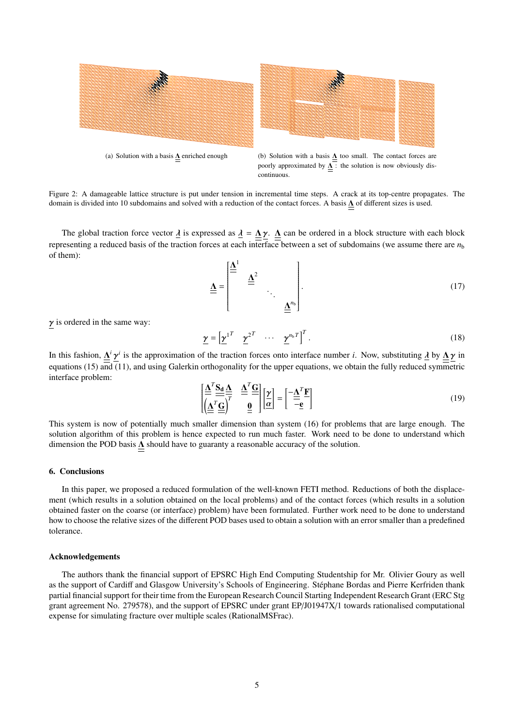

Figure 2: A damageable lattice structure is put under tension in incremental time steps. A crack at its top-centre propagates. The domain is divided into 10 subdomains and solved with a reduction of the contact forces. A basis Λ of different sizes is used.

The global traction force vector  $\underline{\lambda}$  is expressed as  $\underline{\lambda} = \underline{\Lambda} \gamma$ .  $\underline{\Lambda}$  can be ordered in a block structure with each block representing a reduced basis of the traction forces at each interface between a set of subdomains (we assume there are  $n<sub>b</sub>$ of them):

$$
\underline{\underline{\mathbf{A}}} = \begin{bmatrix} \underline{\underline{\mathbf{A}}}^{1} & \underline{\underline{\mathbf{A}}}^{2} & & \\ & \underline{\underline{\mathbf{A}}}^{2} & & \\ & & \ddots & \\ & & & \underline{\underline{\mathbf{A}}}^{n_{b}} \end{bmatrix} . \tag{17}
$$

 $\gamma$  is ordered in the same way:

$$
\underline{\gamma} = \left[ \underline{\gamma}^{1^T} \quad \underline{\gamma}^{2^T} \quad \cdots \quad \underline{\gamma}^{n_b^T} \right]^T. \tag{18}
$$

In this fashion,  $\Delta^i \gamma^i$  is the approximation of the traction forces onto interface number *i*. Now, substituting  $\Delta$  by  $\Delta \gamma$  in contains (15) and (11) and using Galerlin orthogonality for the upper couptions, we ob equations (15) and (11), and using Galerkin orthogonality for the upper equations, we obtain the fully reduced symmetric interface problem:

$$
\left[\underline{\underline{\underline{\mathbf{A}}}^T \underline{\underline{\mathbf{G}}}}_{\underline{\underline{\mathbf{A}}}} \underline{\underline{\underline{\mathbf{A}}}}_{\underline{\underline{\mathbf{B}}}} \right]_{\underline{\underline{\mathbf{A}}}}^{\underline{\underline{\mathbf{A}}}} = \left[\underline{\underline{\mathbf{A}}}^T \underline{\underline{\mathbf{F}}}_{\underline{\underline{\mathbf{A}}}}\right]
$$
\n(19)

This system is now of potentially much smaller dimension than system (16) for problems that are large enough. The solution algorithm of this problem is hence expected to run much faster. Work need to be done to understand which dimension the POD basis  $\Delta$  should have to guaranty a reasonable accuracy of the solution.

#### 6. Conclusions

In this paper, we proposed a reduced formulation of the well-known FETI method. Reductions of both the displacement (which results in a solution obtained on the local problems) and of the contact forces (which results in a solution obtained faster on the coarse (or interface) problem) have been formulated. Further work need to be done to understand how to choose the relative sizes of the different POD bases used to obtain a solution with an error smaller than a predefined tolerance.

#### Acknowledgements

The authors thank the financial support of EPSRC High End Computing Studentship for Mr. Olivier Goury as well as the support of Cardiff and Glasgow University's Schools of Engineering. Stephane Bordas and Pierre Kerfriden thank ´ partial financial support for their time from the European Research Council Starting Independent Research Grant (ERC Stg grant agreement No. 279578), and the support of EPSRC under grant EP/J01947X/1 towards rationalised computational expense for simulating fracture over multiple scales (RationalMSFrac).